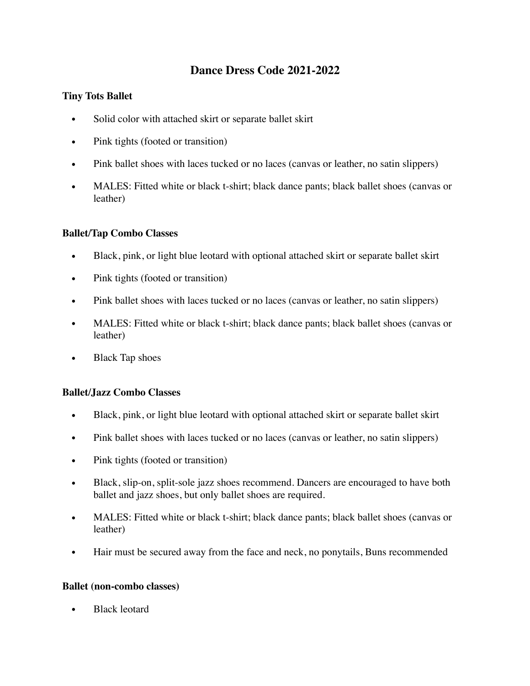# **Dance Dress Code 2021-2022**

## **Tiny Tots Ballet**

- Solid color with attached skirt or separate ballet skirt
- Pink tights (footed or transition)
- Pink ballet shoes with laces tucked or no laces (canvas or leather, no satin slippers)
- MALES: Fitted white or black t-shirt; black dance pants; black ballet shoes (canvas or leather)

### **Ballet/Tap Combo Classes**

- Black, pink, or light blue leotard with optional attached skirt or separate ballet skirt
- Pink tights (footed or transition)
- Pink ballet shoes with laces tucked or no laces (canvas or leather, no satin slippers)
- MALES: Fitted white or black t-shirt; black dance pants; black ballet shoes (canvas or leather)
- Black Tap shoes

### **Ballet/Jazz Combo Classes**

- Black, pink, or light blue leotard with optional attached skirt or separate ballet skirt
- Pink ballet shoes with laces tucked or no laces (canvas or leather, no satin slippers)
- Pink tights (footed or transition)
- Black, slip-on, split-sole jazz shoes recommend. Dancers are encouraged to have both ballet and jazz shoes, but only ballet shoes are required.
- MALES: Fitted white or black t-shirt; black dance pants; black ballet shoes (canvas or leather)
- Hair must be secured away from the face and neck, no ponytails, Buns recommended

#### **Ballet (non-combo classes)**

• Black leotard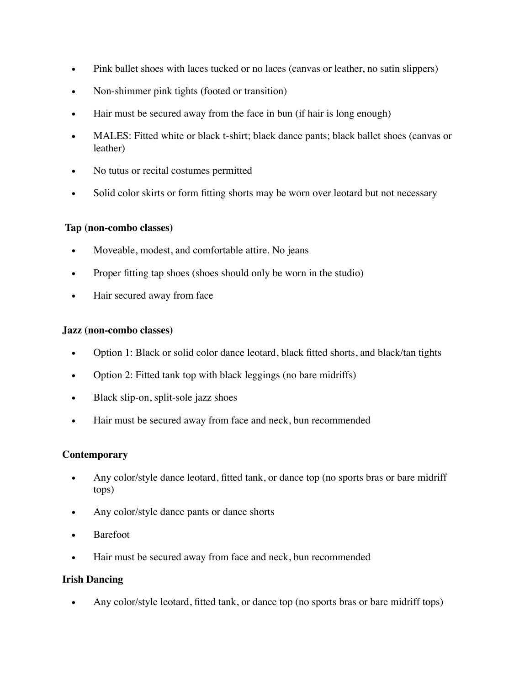- Pink ballet shoes with laces tucked or no laces (canvas or leather, no satin slippers)
- Non-shimmer pink tights (footed or transition)
- Hair must be secured away from the face in bun (if hair is long enough)
- MALES: Fitted white or black t-shirt; black dance pants; black ballet shoes (canvas or leather)
- No tutus or recital costumes permitted
- Solid color skirts or form fitting shorts may be worn over leotard but not necessary

### **Tap (non-combo classes)**

- Moveable, modest, and comfortable attire. No jeans
- Proper fitting tap shoes (shoes should only be worn in the studio)
- Hair secured away from face

#### **Jazz (non-combo classes)**

- Option 1: Black or solid color dance leotard, black fitted shorts, and black/tan tights
- Option 2: Fitted tank top with black leggings (no bare midriffs)
- Black slip-on, split-sole jazz shoes
- Hair must be secured away from face and neck, bun recommended

### **Contemporary**

- Any color/style dance leotard, fitted tank, or dance top (no sports bras or bare midriff tops)
- Any color/style dance pants or dance shorts
- **Barefoot**
- Hair must be secured away from face and neck, bun recommended

### **Irish Dancing**

• Any color/style leotard, fitted tank, or dance top (no sports bras or bare midriff tops)